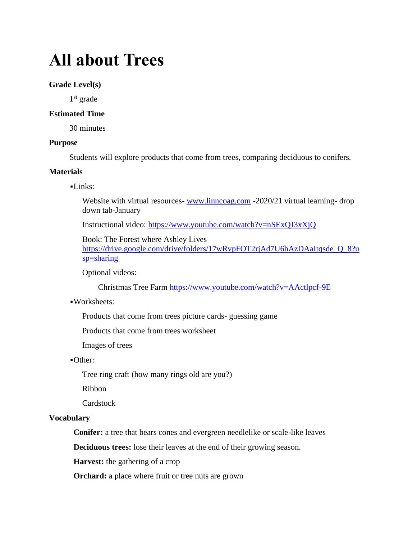# **All about Trees**

#### **Grade Level(s)**

1<sup>st</sup> grade

### **Estimated Time**

30 minutes

#### **Purpose**

Students will explore products that come from trees, comparing deciduous to conifers.

#### **Materials**

#### ▪Links:

Website with virtual resources- [www.linncoag.com](http://www.linncoag.com/) -2020/21 virtual learning- drop down tab-January

Instructional video:<https://www.youtube.com/watch?v=nSExQJ3xXjQ>

Book: The Forest where Ashley Lives

[https://drive.google.com/drive/folders/17wRvpFOT2rjAd7U6hAzDAaItqsde\\_Q\\_8?u](https://drive.google.com/drive/folders/17wRvpFOT2rjAd7U6hAzDAaItqsde_Q_8?usp=sharing) [sp=sharing](https://drive.google.com/drive/folders/17wRvpFOT2rjAd7U6hAzDAaItqsde_Q_8?usp=sharing)

Optional videos:

Christmas Tree Farm<https://www.youtube.com/watch?v=AActlpcf-9E>

#### ▪Worksheets:

Products that come from trees picture cards- guessing game

Products that come from trees worksheet

Images of trees

#### ▪Other:

Tree ring craft (how many rings old are you?)

Ribbon

**Cardstock** 

#### **Vocabulary**

**Conifer:** a tree that bears cones and evergreen needlelike or scale-like leaves

**Deciduous trees:** lose their leaves at the end of their growing season.

**Harvest:** the gathering of a crop

**Orchard:** a place where fruit or tree nuts are grown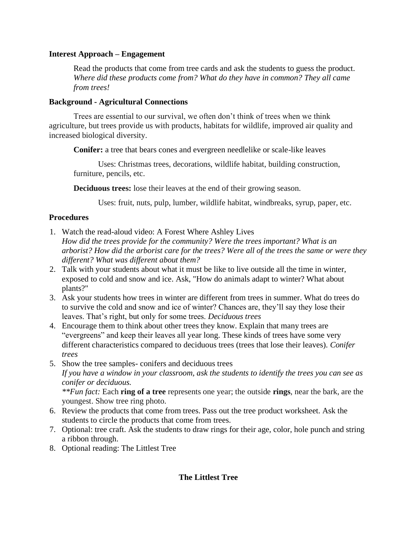## **Interest Approach – Engagement**

Read the products that come from tree cards and ask the students to guess the product. *Where did these products come from? What do they have in common? They all came from trees!*

### **Background - Agricultural Connections**

Trees are essential to our survival, we often don't think of trees when we think agriculture, but trees provide us with products, habitats for wildlife, improved air quality and increased biological diversity.

**Conifer:** a tree that bears cones and evergreen needlelike or scale-like leaves

Uses: Christmas trees, decorations, wildlife habitat, building construction, furniture, pencils, etc.

**Deciduous trees:** lose their leaves at the end of their growing season.

Uses: fruit, nuts, pulp, lumber, wildlife habitat, windbreaks, syrup, paper, etc.

# **Procedures**

- 1. Watch the read-aloud video: A Forest Where Ashley Lives *How did the trees provide for the community? Were the trees important? What is an arborist? How did the arborist care for the trees? Were all of the trees the same or were they different? What was different about them?*
- 2. Talk with your students about what it must be like to live outside all the time in winter, exposed to cold and snow and ice. Ask, "How do animals adapt to winter? What about plants?"
- 3. Ask your students how trees in winter are different from trees in summer. What do trees do to survive the cold and snow and ice of winter? Chances are, they'll say they lose their leaves. That's right, but only for some trees. *Deciduous trees*
- 4. Encourage them to think about other trees they know. Explain that many trees are "evergreens" and keep their leaves all year long. These kinds of trees have some very different characteristics compared to deciduous trees (trees that lose their leaves). *Conifer trees*
- 5. Show the tree samples- conifers and deciduous trees *If you have a window in your classroom, ask the students to identify the trees you can see as conifer or deciduous. \*\*Fun fact:* Each **ring of a tree** represents one year; the outside **rings**, near the bark, are the youngest. Show tree ring photo.
- 6. Review the products that come from trees. Pass out the tree product worksheet. Ask the students to circle the products that come from trees.
- 7. Optional: tree craft. Ask the students to draw rings for their age, color, hole punch and string a ribbon through.
- 8. Optional reading: The Littlest Tree

# **The Littlest Tree**